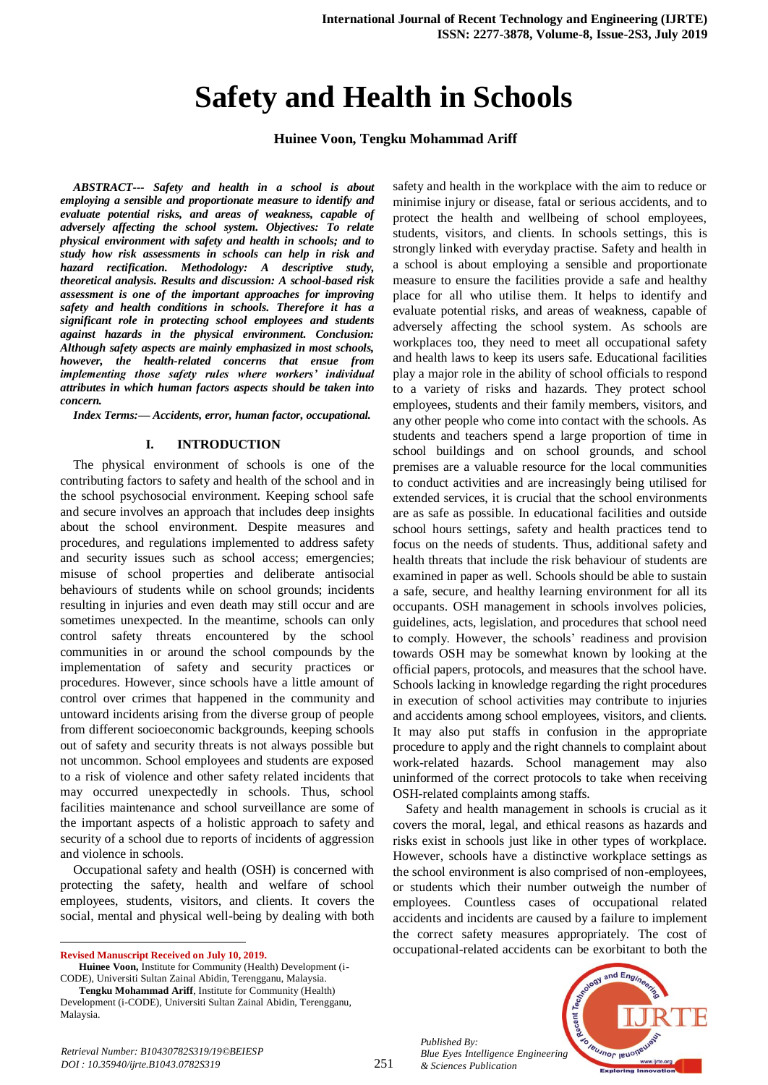# **Safety and Health in Schools**

**Huinee Voon, Tengku Mohammad Ariff** 

*ABSTRACT--- Safety and health in a school is about employing a sensible and proportionate measure to identify and evaluate potential risks, and areas of weakness, capable of adversely affecting the school system. Objectives: To relate physical environment with safety and health in schools; and to study how risk assessments in schools can help in risk and hazard rectification. Methodology: A descriptive study, theoretical analysis. Results and discussion: A school-based risk assessment is one of the important approaches for improving safety and health conditions in schools. Therefore it has a significant role in protecting school employees and students against hazards in the physical environment. Conclusion: Although safety aspects are mainly emphasized in most schools, however, the health-related concerns that ensue from implementing those safety rules where workers' individual attributes in which human factors aspects should be taken into concern.*

*Index Terms:— Accidents, error, human factor, occupational.*

## **I. INTRODUCTION**

The physical environment of schools is one of the contributing factors to safety and health of the school and in the school psychosocial environment. Keeping school safe and secure involves an approach that includes deep insights about the school environment. Despite measures and procedures, and regulations implemented to address safety and security issues such as school access; emergencies; misuse of school properties and deliberate antisocial behaviours of students while on school grounds; incidents resulting in injuries and even death may still occur and are sometimes unexpected. In the meantime, schools can only control safety threats encountered by the school communities in or around the school compounds by the implementation of safety and security practices or procedures. However, since schools have a little amount of control over crimes that happened in the community and untoward incidents arising from the diverse group of people from different socioeconomic backgrounds, keeping schools out of safety and security threats is not always possible but not uncommon. School employees and students are exposed to a risk of violence and other safety related incidents that may occurred unexpectedly in schools. Thus, school facilities maintenance and school surveillance are some of the important aspects of a holistic approach to safety and security of a school due to reports of incidents of aggression and violence in schools.

Occupational safety and health (OSH) is concerned with protecting the safety, health and welfare of school employees, students, visitors, and clients. It covers the social, mental and physical well-being by dealing with both

**Revised Manuscript Received on July 10, 2019.**

 $\ddot{\phantom{a}}$ 

**Huinee Voon,** Institute for Community (Health) Development (i-CODE), Universiti Sultan Zainal Abidin, Terengganu, Malaysia.

safety and health in the workplace with the aim to reduce or minimise injury or disease, fatal or serious accidents, and to protect the health and wellbeing of school employees, students, visitors, and clients. In schools settings, this is strongly linked with everyday practise. Safety and health in a school is about employing a sensible and proportionate measure to ensure the facilities provide a safe and healthy place for all who utilise them. It helps to identify and evaluate potential risks, and areas of weakness, capable of adversely affecting the school system. As schools are workplaces too, they need to meet all occupational safety and health laws to keep its users safe. Educational facilities play a major role in the ability of school officials to respond to a variety of risks and hazards. They protect school employees, students and their family members, visitors, and any other people who come into contact with the schools. As students and teachers spend a large proportion of time in school buildings and on school grounds, and school premises are a valuable resource for the local communities to conduct activities and are increasingly being utilised for extended services, it is crucial that the school environments are as safe as possible. In educational facilities and outside school hours settings, safety and health practices tend to focus on the needs of students. Thus, additional safety and health threats that include the risk behaviour of students are examined in paper as well. Schools should be able to sustain a safe, secure, and healthy learning environment for all its occupants. OSH management in schools involves policies, guidelines, acts, legislation, and procedures that school need to comply. However, the schools' readiness and provision towards OSH may be somewhat known by looking at the official papers, protocols, and measures that the school have. Schools lacking in knowledge regarding the right procedures in execution of school activities may contribute to injuries and accidents among school employees, visitors, and clients. It may also put staffs in confusion in the appropriate procedure to apply and the right channels to complaint about work-related hazards. School management may also uninformed of the correct protocols to take when receiving OSH-related complaints among staffs.

Safety and health management in schools is crucial as it covers the moral, legal, and ethical reasons as hazards and risks exist in schools just like in other types of workplace. However, schools have a distinctive workplace settings as the school environment is also comprised of non-employees, or students which their number outweigh the number of employees. Countless cases of occupational related accidents and incidents are caused by a failure to implement the correct safety measures appropriately. The cost of occupational-related accidents can be exorbitant to both the

*Published By: Blue Eyes Intelligence Engineering & Sciences Publication* 



**Tengku Mohammad Ariff**, Institute for Community (Health) Development (i-CODE), Universiti Sultan Zainal Abidin, Terengganu, Malaysia.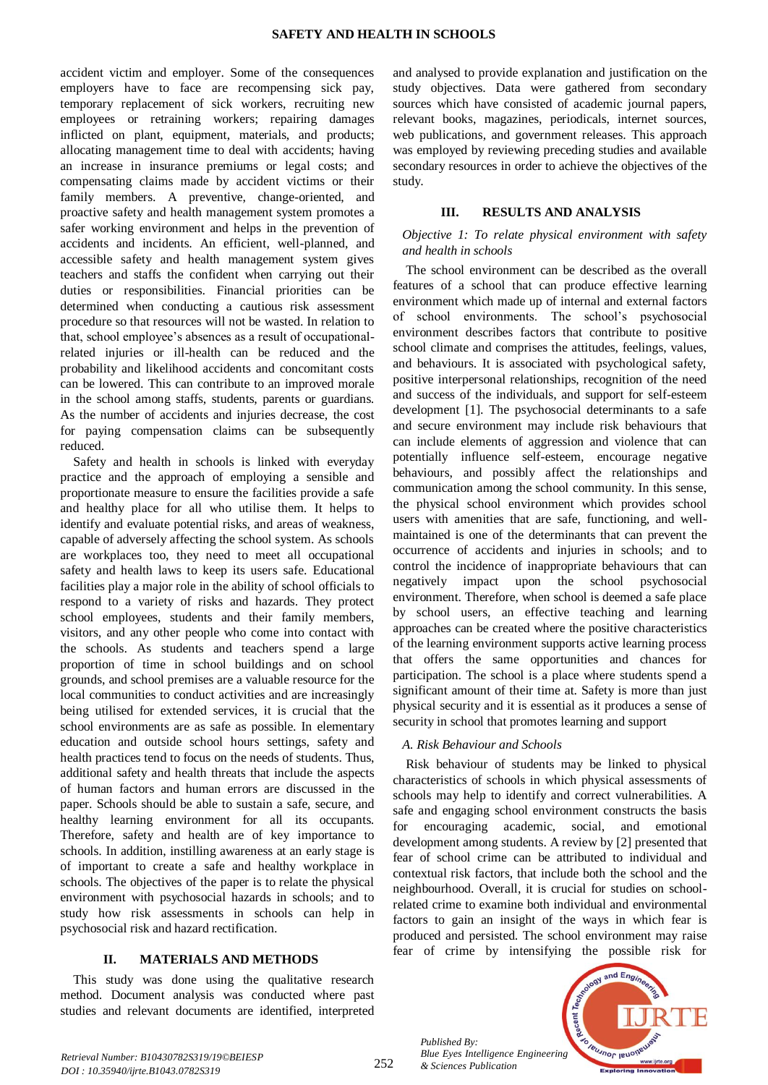accident victim and employer. Some of the consequences employers have to face are recompensing sick pay, temporary replacement of sick workers, recruiting new employees or retraining workers; repairing damages inflicted on plant, equipment, materials, and products; allocating management time to deal with accidents; having an increase in insurance premiums or legal costs; and compensating claims made by accident victims or their family members. A preventive, change-oriented, and proactive safety and health management system promotes a safer working environment and helps in the prevention of accidents and incidents. An efficient, well-planned, and accessible safety and health management system gives teachers and staffs the confident when carrying out their duties or responsibilities. Financial priorities can be determined when conducting a cautious risk assessment procedure so that resources will not be wasted. In relation to that, school employee's absences as a result of occupationalrelated injuries or ill-health can be reduced and the probability and likelihood accidents and concomitant costs can be lowered. This can contribute to an improved morale in the school among staffs, students, parents or guardians. As the number of accidents and injuries decrease, the cost for paying compensation claims can be subsequently reduced.

Safety and health in schools is linked with everyday practice and the approach of employing a sensible and proportionate measure to ensure the facilities provide a safe and healthy place for all who utilise them. It helps to identify and evaluate potential risks, and areas of weakness, capable of adversely affecting the school system. As schools are workplaces too, they need to meet all occupational safety and health laws to keep its users safe. Educational facilities play a major role in the ability of school officials to respond to a variety of risks and hazards. They protect school employees, students and their family members, visitors, and any other people who come into contact with the schools. As students and teachers spend a large proportion of time in school buildings and on school grounds, and school premises are a valuable resource for the local communities to conduct activities and are increasingly being utilised for extended services, it is crucial that the school environments are as safe as possible. In elementary education and outside school hours settings, safety and health practices tend to focus on the needs of students. Thus, additional safety and health threats that include the aspects of human factors and human errors are discussed in the paper. Schools should be able to sustain a safe, secure, and healthy learning environment for all its occupants. Therefore, safety and health are of key importance to schools. In addition, instilling awareness at an early stage is of important to create a safe and healthy workplace in schools. The objectives of the paper is to relate the physical environment with psychosocial hazards in schools; and to study how risk assessments in schools can help in psychosocial risk and hazard rectification.

# **II. MATERIALS AND METHODS**

This study was done using the qualitative research method. Document analysis was conducted where past studies and relevant documents are identified, interpreted and analysed to provide explanation and justification on the study objectives. Data were gathered from secondary sources which have consisted of academic journal papers, relevant books, magazines, periodicals, internet sources, web publications, and government releases. This approach was employed by reviewing preceding studies and available secondary resources in order to achieve the objectives of the study.

# **III. RESULTS AND ANALYSIS**

# *Objective 1: To relate physical environment with safety and health in schools*

The school environment can be described as the overall features of a school that can produce effective learning environment which made up of internal and external factors of school environments. The school's psychosocial environment describes factors that contribute to positive school climate and comprises the attitudes, feelings, values, and behaviours. It is associated with psychological safety, positive interpersonal relationships, recognition of the need and success of the individuals, and support for self-esteem development [1]. The psychosocial determinants to a safe and secure environment may include risk behaviours that can include elements of aggression and violence that can potentially influence self-esteem, encourage negative behaviours, and possibly affect the relationships and communication among the school community. In this sense, the physical school environment which provides school users with amenities that are safe, functioning, and wellmaintained is one of the determinants that can prevent the occurrence of accidents and injuries in schools; and to control the incidence of inappropriate behaviours that can negatively impact upon the school psychosocial environment. Therefore, when school is deemed a safe place by school users, an effective teaching and learning approaches can be created where the positive characteristics of the learning environment supports active learning process that offers the same opportunities and chances for participation. The school is a place where students spend a significant amount of their time at. Safety is more than just physical security and it is essential as it produces a sense of security in school that promotes learning and support

# *A. Risk Behaviour and Schools*

Risk behaviour of students may be linked to physical characteristics of schools in which physical assessments of schools may help to identify and correct vulnerabilities. A safe and engaging school environment constructs the basis for encouraging academic, social, and emotional development among students. A review by [2] presented that fear of school crime can be attributed to individual and contextual risk factors, that include both the school and the neighbourhood. Overall, it is crucial for studies on schoolrelated crime to examine both individual and environmental factors to gain an insight of the ways in which fear is produced and persisted. The school environment may raise fear of crime by intensifying the possible risk for

*Published By: Blue Eyes Intelligence Engineering & Sciences Publication* 

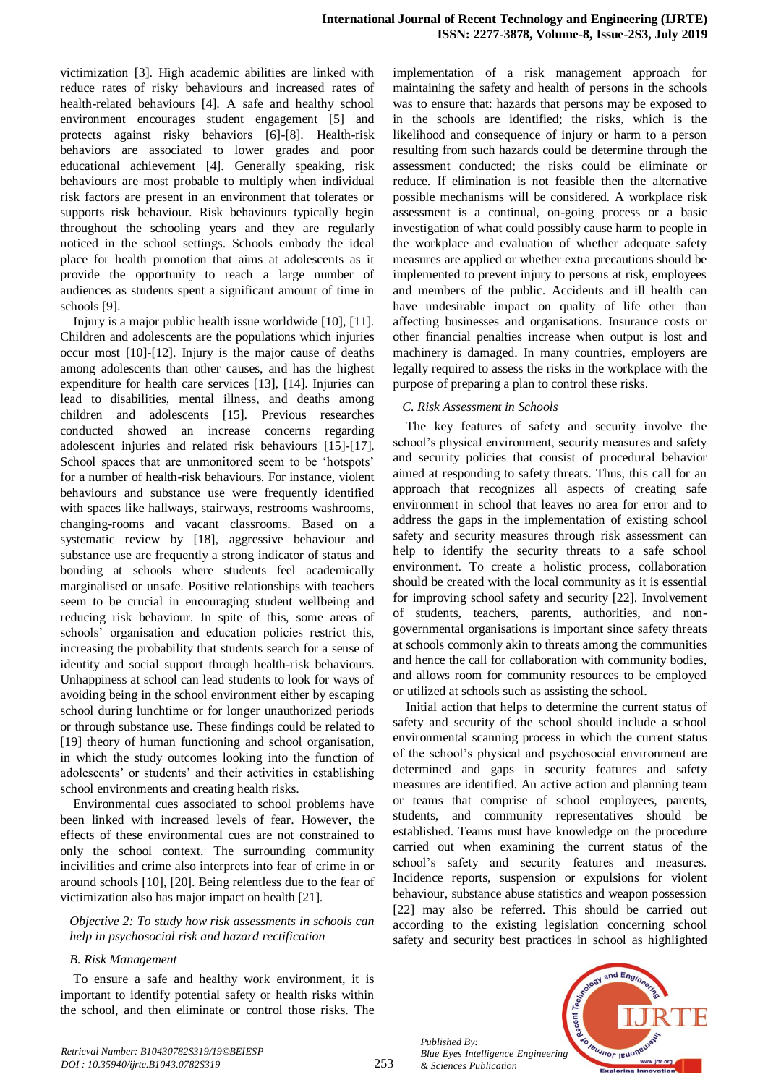victimization [3]. High academic abilities are linked with reduce rates of risky behaviours and increased rates of health-related behaviours [4]. A safe and healthy school environment encourages student engagement [5] and protects against risky behaviors [6]-[8]. Health-risk behaviors are associated to lower grades and poor educational achievement [4]. Generally speaking, risk behaviours are most probable to multiply when individual risk factors are present in an environment that tolerates or supports risk behaviour. Risk behaviours typically begin throughout the schooling years and they are regularly noticed in the school settings. Schools embody the ideal place for health promotion that aims at adolescents as it provide the opportunity to reach a large number of audiences as students spent a significant amount of time in schools [9].

Injury is a major public health issue worldwide [10], [11]. Children and adolescents are the populations which injuries occur most [10]-[12]. Injury is the major cause of deaths among adolescents than other causes, and has the highest expenditure for health care services [13], [14]. Injuries can lead to disabilities, mental illness, and deaths among children and adolescents [15]. Previous researches conducted showed an increase concerns regarding adolescent injuries and related risk behaviours [15]-[17]. School spaces that are unmonitored seem to be 'hotspots' for a number of health-risk behaviours. For instance, violent behaviours and substance use were frequently identified with spaces like hallways, stairways, restrooms washrooms, changing-rooms and vacant classrooms. Based on a systematic review by [18], aggressive behaviour and substance use are frequently a strong indicator of status and bonding at schools where students feel academically marginalised or unsafe. Positive relationships with teachers seem to be crucial in encouraging student wellbeing and reducing risk behaviour. In spite of this, some areas of schools' organisation and education policies restrict this, increasing the probability that students search for a sense of identity and social support through health-risk behaviours. Unhappiness at school can lead students to look for ways of avoiding being in the school environment either by escaping school during lunchtime or for longer unauthorized periods or through substance use. These findings could be related to [19] theory of human functioning and school organisation, in which the study outcomes looking into the function of adolescents' or students' and their activities in establishing school environments and creating health risks.

Environmental cues associated to school problems have been linked with increased levels of fear. However, the effects of these environmental cues are not constrained to only the school context. The surrounding community incivilities and crime also interprets into fear of crime in or around schools [10], [20]. Being relentless due to the fear of victimization also has major impact on health [21].

*Objective 2: To study how risk assessments in schools can help in psychosocial risk and hazard rectification*

# *B. Risk Management*

To ensure a safe and healthy work environment, it is important to identify potential safety or health risks within the school, and then eliminate or control those risks. The

implementation of a risk management approach for maintaining the safety and health of persons in the schools was to ensure that: hazards that persons may be exposed to in the schools are identified; the risks, which is the likelihood and consequence of injury or harm to a person resulting from such hazards could be determine through the assessment conducted; the risks could be eliminate or reduce. If elimination is not feasible then the alternative possible mechanisms will be considered. A workplace risk assessment is a continual, on-going process or a basic investigation of what could possibly cause harm to people in the workplace and evaluation of whether adequate safety measures are applied or whether extra precautions should be implemented to prevent injury to persons at risk, employees and members of the public. Accidents and ill health can have undesirable impact on quality of life other than affecting businesses and organisations. Insurance costs or other financial penalties increase when output is lost and machinery is damaged. In many countries, employers are legally required to assess the risks in the workplace with the purpose of preparing a plan to control these risks.

## *C. Risk Assessment in Schools*

The key features of safety and security involve the school's physical environment, security measures and safety and security policies that consist of procedural behavior aimed at responding to safety threats. Thus, this call for an approach that recognizes all aspects of creating safe environment in school that leaves no area for error and to address the gaps in the implementation of existing school safety and security measures through risk assessment can help to identify the security threats to a safe school environment. To create a holistic process, collaboration should be created with the local community as it is essential for improving school safety and security [22]. Involvement of students, teachers, parents, authorities, and nongovernmental organisations is important since safety threats at schools commonly akin to threats among the communities and hence the call for collaboration with community bodies, and allows room for community resources to be employed or utilized at schools such as assisting the school.

Initial action that helps to determine the current status of safety and security of the school should include a school environmental scanning process in which the current status of the school's physical and psychosocial environment are determined and gaps in security features and safety measures are identified. An active action and planning team or teams that comprise of school employees, parents, students, and community representatives should be established. Teams must have knowledge on the procedure carried out when examining the current status of the school's safety and security features and measures. Incidence reports, suspension or expulsions for violent behaviour, substance abuse statistics and weapon possession [22] may also be referred. This should be carried out according to the existing legislation concerning school safety and security best practices in school as highlighted

*Published By: Blue Eyes Intelligence Engineering & Sciences Publication* 

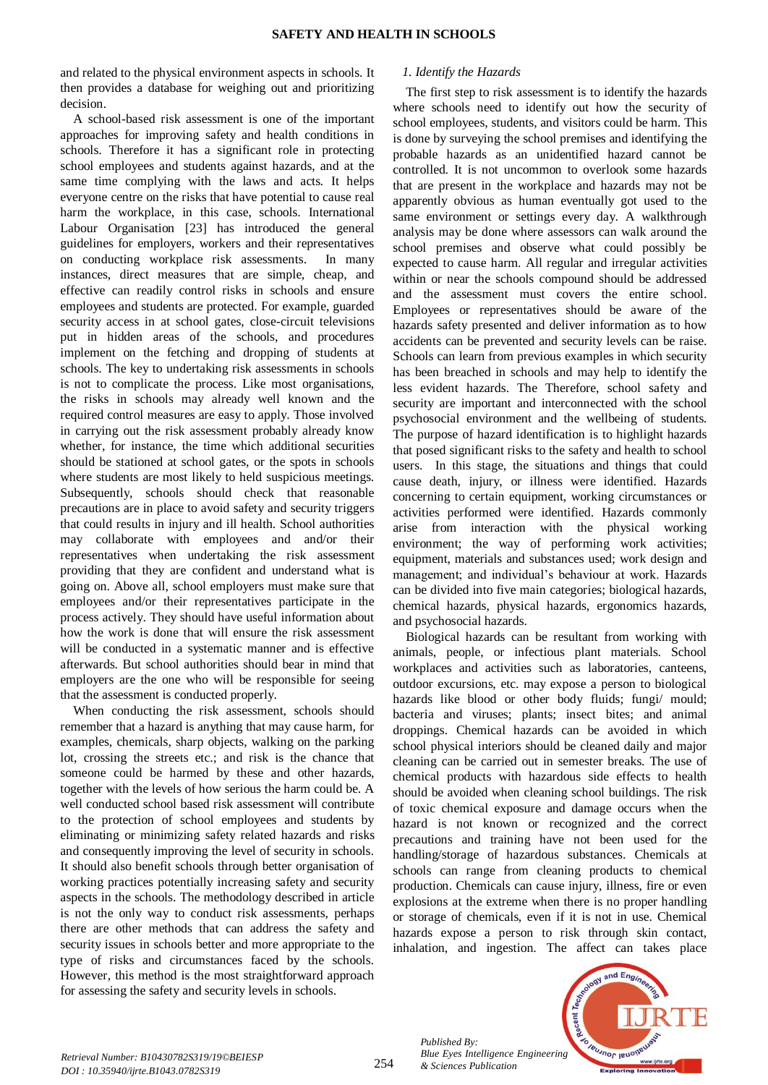and related to the physical environment aspects in schools. It then provides a database for weighing out and prioritizing decision.

A school-based risk assessment is one of the important approaches for improving safety and health conditions in schools. Therefore it has a significant role in protecting school employees and students against hazards, and at the same time complying with the laws and acts. It helps everyone centre on the risks that have potential to cause real harm the workplace, in this case, schools. International Labour Organisation [23] has introduced the general guidelines for employers, workers and their representatives on conducting workplace risk assessments. In many instances, direct measures that are simple, cheap, and effective can readily control risks in schools and ensure employees and students are protected. For example, guarded security access in at school gates, close-circuit televisions put in hidden areas of the schools, and procedures implement on the fetching and dropping of students at schools. The key to undertaking risk assessments in schools is not to complicate the process. Like most organisations, the risks in schools may already well known and the required control measures are easy to apply. Those involved in carrying out the risk assessment probably already know whether, for instance, the time which additional securities should be stationed at school gates, or the spots in schools where students are most likely to held suspicious meetings. Subsequently, schools should check that reasonable precautions are in place to avoid safety and security triggers that could results in injury and ill health. School authorities may collaborate with employees and and/or their representatives when undertaking the risk assessment providing that they are confident and understand what is going on. Above all, school employers must make sure that employees and/or their representatives participate in the process actively. They should have useful information about how the work is done that will ensure the risk assessment will be conducted in a systematic manner and is effective afterwards. But school authorities should bear in mind that employers are the one who will be responsible for seeing that the assessment is conducted properly.

When conducting the risk assessment, schools should remember that a hazard is anything that may cause harm, for examples, chemicals, sharp objects, walking on the parking lot, crossing the streets etc.; and risk is the chance that someone could be harmed by these and other hazards, together with the levels of how serious the harm could be. A well conducted school based risk assessment will contribute to the protection of school employees and students by eliminating or minimizing safety related hazards and risks and consequently improving the level of security in schools. It should also benefit schools through better organisation of working practices potentially increasing safety and security aspects in the schools. The methodology described in article is not the only way to conduct risk assessments, perhaps there are other methods that can address the safety and security issues in schools better and more appropriate to the type of risks and circumstances faced by the schools. However, this method is the most straightforward approach for assessing the safety and security levels in schools.

## *1. Identify the Hazards*

The first step to risk assessment is to identify the hazards where schools need to identify out how the security of school employees, students, and visitors could be harm. This is done by surveying the school premises and identifying the probable hazards as an unidentified hazard cannot be controlled. It is not uncommon to overlook some hazards that are present in the workplace and hazards may not be apparently obvious as human eventually got used to the same environment or settings every day. A walkthrough analysis may be done where assessors can walk around the school premises and observe what could possibly be expected to cause harm. All regular and irregular activities within or near the schools compound should be addressed and the assessment must covers the entire school. Employees or representatives should be aware of the hazards safety presented and deliver information as to how accidents can be prevented and security levels can be raise. Schools can learn from previous examples in which security has been breached in schools and may help to identify the less evident hazards. The Therefore, school safety and security are important and interconnected with the school psychosocial environment and the wellbeing of students. The purpose of hazard identification is to highlight hazards that posed significant risks to the safety and health to school users. In this stage, the situations and things that could cause death, injury, or illness were identified. Hazards concerning to certain equipment, working circumstances or activities performed were identified. Hazards commonly arise from interaction with the physical working environment; the way of performing work activities; equipment, materials and substances used; work design and management; and individual's behaviour at work. Hazards can be divided into five main categories; biological hazards, chemical hazards, physical hazards, ergonomics hazards, and psychosocial hazards.

Biological hazards can be resultant from working with animals, people, or infectious plant materials. School workplaces and activities such as laboratories, canteens, outdoor excursions, etc. may expose a person to biological hazards like blood or other body fluids; fungi/ mould; bacteria and viruses; plants; insect bites; and animal droppings. Chemical hazards can be avoided in which school physical interiors should be cleaned daily and major cleaning can be carried out in semester breaks. The use of chemical products with hazardous side effects to health should be avoided when cleaning school buildings. The risk of toxic chemical exposure and damage occurs when the hazard is not known or recognized and the correct precautions and training have not been used for the handling/storage of hazardous substances. Chemicals at schools can range from cleaning products to chemical production. Chemicals can cause injury, illness, fire or even explosions at the extreme when there is no proper handling or storage of chemicals, even if it is not in use. Chemical hazards expose a person to risk through skin contact, inhalation, and ingestion. The affect can takes place



*Published By:*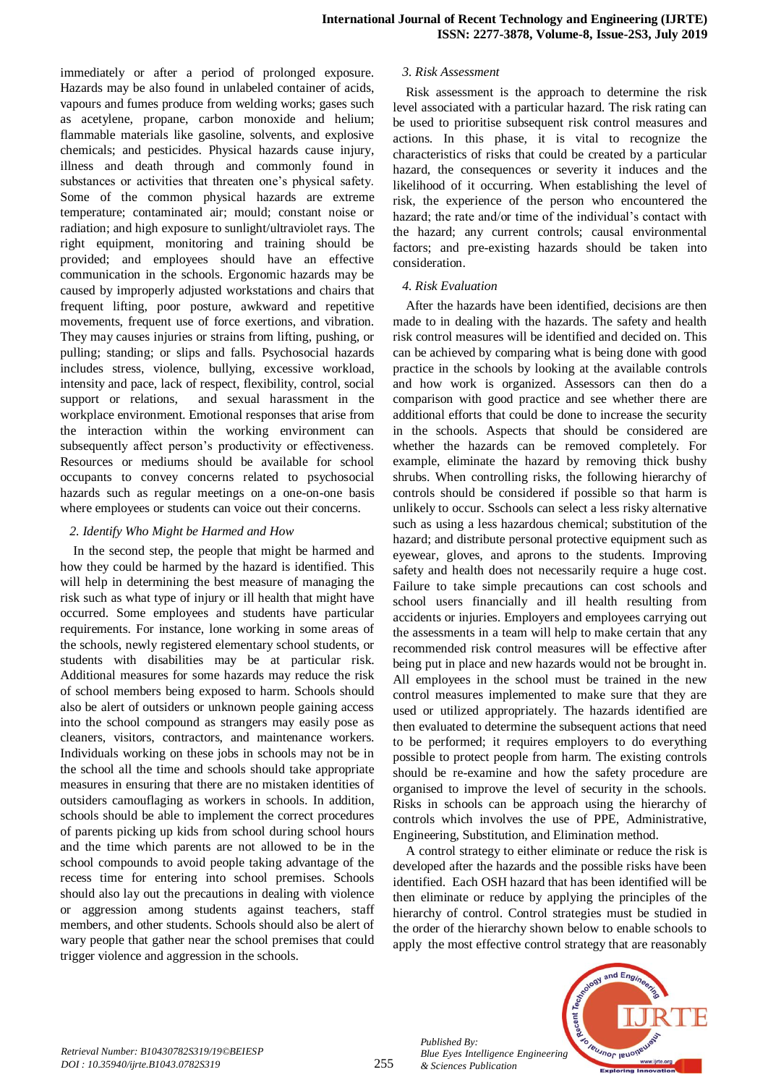immediately or after a period of prolonged exposure. Hazards may be also found in unlabeled container of acids, vapours and fumes produce from welding works; gases such as acetylene, propane, carbon monoxide and helium; flammable materials like gasoline, solvents, and explosive chemicals; and pesticides. Physical hazards cause injury, illness and death through and commonly found in substances or activities that threaten one's physical safety. Some of the common physical hazards are extreme temperature; contaminated air; mould; constant noise or radiation; and high exposure to sunlight/ultraviolet rays. The right equipment, monitoring and training should be provided; and employees should have an effective communication in the schools. Ergonomic hazards may be caused by improperly adjusted workstations and chairs that frequent lifting, poor posture, awkward and repetitive movements, frequent use of force exertions, and vibration. They may causes injuries or strains from lifting, pushing, or pulling; standing; or slips and falls. Psychosocial hazards includes stress, violence, bullying, excessive workload, intensity and pace, lack of respect, flexibility, control, social support or relations, and sexual harassment in the workplace environment. Emotional responses that arise from the interaction within the working environment can subsequently affect person's productivity or effectiveness. Resources or mediums should be available for school occupants to convey concerns related to psychosocial hazards such as regular meetings on a one-on-one basis where employees or students can voice out their concerns.

#### *2. Identify Who Might be Harmed and How*

In the second step, the people that might be harmed and how they could be harmed by the hazard is identified. This will help in determining the best measure of managing the risk such as what type of injury or ill health that might have occurred. Some employees and students have particular requirements. For instance, lone working in some areas of the schools, newly registered elementary school students, or students with disabilities may be at particular risk. Additional measures for some hazards may reduce the risk of school members being exposed to harm. Schools should also be alert of outsiders or unknown people gaining access into the school compound as strangers may easily pose as cleaners, visitors, contractors, and maintenance workers. Individuals working on these jobs in schools may not be in the school all the time and schools should take appropriate measures in ensuring that there are no mistaken identities of outsiders camouflaging as workers in schools. In addition, schools should be able to implement the correct procedures of parents picking up kids from school during school hours and the time which parents are not allowed to be in the school compounds to avoid people taking advantage of the recess time for entering into school premises. Schools should also lay out the precautions in dealing with violence or aggression among students against teachers, staff members, and other students. Schools should also be alert of wary people that gather near the school premises that could trigger violence and aggression in the schools.

## *3. Risk Assessment*

Risk assessment is the approach to determine the risk level associated with a particular hazard. The risk rating can be used to prioritise subsequent risk control measures and actions. In this phase, it is vital to recognize the characteristics of risks that could be created by a particular hazard, the consequences or severity it induces and the likelihood of it occurring. When establishing the level of risk, the experience of the person who encountered the hazard; the rate and/or time of the individual's contact with the hazard; any current controls; causal environmental factors; and pre-existing hazards should be taken into consideration.

## *4. Risk Evaluation*

After the hazards have been identified, decisions are then made to in dealing with the hazards. The safety and health risk control measures will be identified and decided on. This can be achieved by comparing what is being done with good practice in the schools by looking at the available controls and how work is organized. Assessors can then do a comparison with good practice and see whether there are additional efforts that could be done to increase the security in the schools. Aspects that should be considered are whether the hazards can be removed completely. For example, eliminate the hazard by removing thick bushy shrubs. When controlling risks, the following hierarchy of controls should be considered if possible so that harm is unlikely to occur. Sschools can select a less risky alternative such as using a less hazardous chemical; substitution of the hazard; and distribute personal protective equipment such as eyewear, gloves, and aprons to the students. Improving safety and health does not necessarily require a huge cost. Failure to take simple precautions can cost schools and school users financially and ill health resulting from accidents or injuries. Employers and employees carrying out the assessments in a team will help to make certain that any recommended risk control measures will be effective after being put in place and new hazards would not be brought in. All employees in the school must be trained in the new control measures implemented to make sure that they are used or utilized appropriately. The hazards identified are then evaluated to determine the subsequent actions that need to be performed; it requires employers to do everything possible to protect people from harm. The existing controls should be re-examine and how the safety procedure are organised to improve the level of security in the schools. Risks in schools can be approach using the hierarchy of controls which involves the use of PPE, Administrative, Engineering, Substitution, and Elimination method.

A control strategy to either eliminate or reduce the risk is developed after the hazards and the possible risks have been identified. Each OSH hazard that has been identified will be then eliminate or reduce by applying the principles of the hierarchy of control. Control strategies must be studied in the order of the hierarchy shown below to enable schools to apply the most effective control strategy that are reasonably



*Published By:*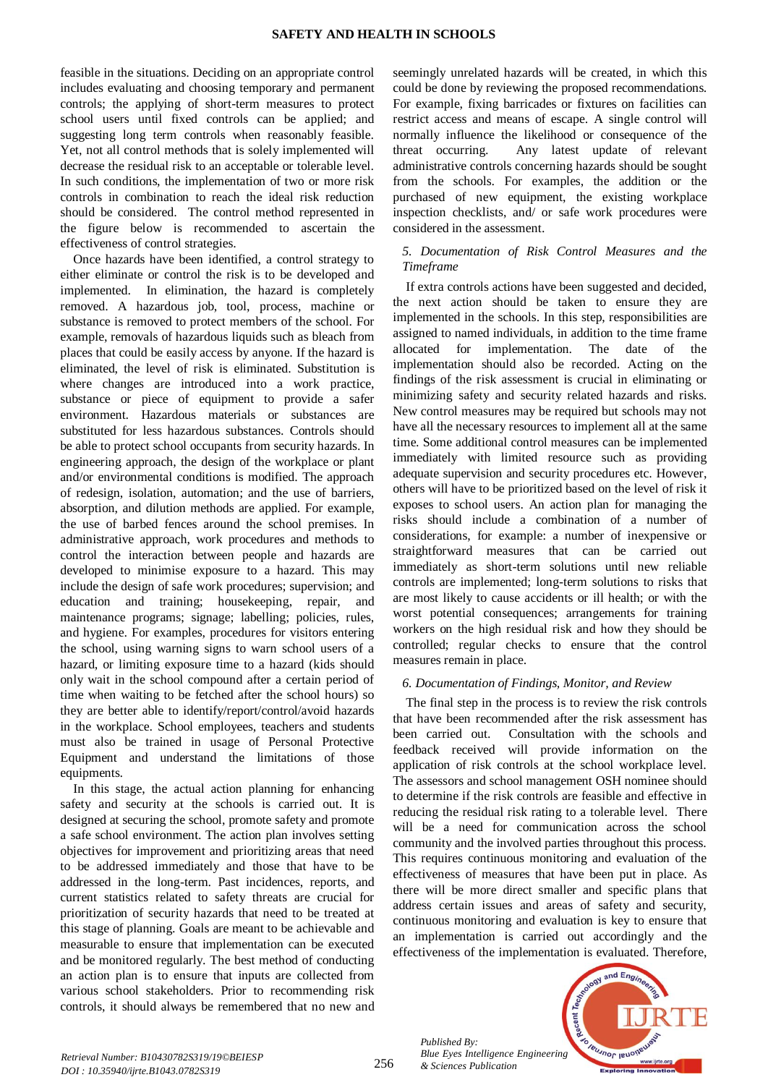feasible in the situations. Deciding on an appropriate control includes evaluating and choosing temporary and permanent controls; the applying of short-term measures to protect school users until fixed controls can be applied; and suggesting long term controls when reasonably feasible. Yet, not all control methods that is solely implemented will decrease the residual risk to an acceptable or tolerable level. In such conditions, the implementation of two or more risk controls in combination to reach the ideal risk reduction should be considered. The control method represented in the figure below is recommended to ascertain the effectiveness of control strategies.

Once hazards have been identified, a control strategy to either eliminate or control the risk is to be developed and implemented. In elimination, the hazard is completely removed. A hazardous job, tool, process, machine or substance is removed to protect members of the school. For example, removals of hazardous liquids such as bleach from places that could be easily access by anyone. If the hazard is eliminated, the level of risk is eliminated. Substitution is where changes are introduced into a work practice, substance or piece of equipment to provide a safer environment. Hazardous materials or substances are substituted for less hazardous substances. Controls should be able to protect school occupants from security hazards. In engineering approach, the design of the workplace or plant and/or environmental conditions is modified. The approach of redesign, isolation, automation; and the use of barriers, absorption, and dilution methods are applied. For example, the use of barbed fences around the school premises. In administrative approach, work procedures and methods to control the interaction between people and hazards are developed to minimise exposure to a hazard. This may include the design of safe work procedures; supervision; and education and training; housekeeping, repair, and maintenance programs; signage; labelling; policies, rules, and hygiene. For examples, procedures for visitors entering the school, using warning signs to warn school users of a hazard, or limiting exposure time to a hazard (kids should only wait in the school compound after a certain period of time when waiting to be fetched after the school hours) so they are better able to identify/report/control/avoid hazards in the workplace. School employees, teachers and students must also be trained in usage of Personal Protective Equipment and understand the limitations of those equipments.

In this stage, the actual action planning for enhancing safety and security at the schools is carried out. It is designed at securing the school, promote safety and promote a safe school environment. The action plan involves setting objectives for improvement and prioritizing areas that need to be addressed immediately and those that have to be addressed in the long-term. Past incidences, reports, and current statistics related to safety threats are crucial for prioritization of security hazards that need to be treated at this stage of planning. Goals are meant to be achievable and measurable to ensure that implementation can be executed and be monitored regularly. The best method of conducting an action plan is to ensure that inputs are collected from various school stakeholders. Prior to recommending risk controls, it should always be remembered that no new and

seemingly unrelated hazards will be created, in which this could be done by reviewing the proposed recommendations. For example, fixing barricades or fixtures on facilities can restrict access and means of escape. A single control will normally influence the likelihood or consequence of the threat occurring. Any latest update of relevant administrative controls concerning hazards should be sought from the schools. For examples, the addition or the purchased of new equipment, the existing workplace inspection checklists, and/ or safe work procedures were considered in the assessment.

## *5. Documentation of Risk Control Measures and the Timeframe*

If extra controls actions have been suggested and decided, the next action should be taken to ensure they are implemented in the schools. In this step, responsibilities are assigned to named individuals, in addition to the time frame allocated for implementation. The date of the implementation should also be recorded. Acting on the findings of the risk assessment is crucial in eliminating or minimizing safety and security related hazards and risks. New control measures may be required but schools may not have all the necessary resources to implement all at the same time. Some additional control measures can be implemented immediately with limited resource such as providing adequate supervision and security procedures etc. However, others will have to be prioritized based on the level of risk it exposes to school users. An action plan for managing the risks should include a combination of a number of considerations, for example: a number of inexpensive or straightforward measures that can be carried out immediately as short-term solutions until new reliable controls are implemented; long-term solutions to risks that are most likely to cause accidents or ill health; or with the worst potential consequences; arrangements for training workers on the high residual risk and how they should be controlled; regular checks to ensure that the control measures remain in place.

# *6. Documentation of Findings, Monitor, and Review*

The final step in the process is to review the risk controls that have been recommended after the risk assessment has been carried out. Consultation with the schools and feedback received will provide information on the application of risk controls at the school workplace level. The assessors and school management OSH nominee should to determine if the risk controls are feasible and effective in reducing the residual risk rating to a tolerable level. There will be a need for communication across the school community and the involved parties throughout this process. This requires continuous monitoring and evaluation of the effectiveness of measures that have been put in place. As there will be more direct smaller and specific plans that address certain issues and areas of safety and security, continuous monitoring and evaluation is key to ensure that an implementation is carried out accordingly and the effectiveness of the implementation is evaluated. Therefore,



*Retrieval Number: B10430782S319/19©BEIESP DOI : 10.35940/ijrte.B1043.0782S319*

*Published By:*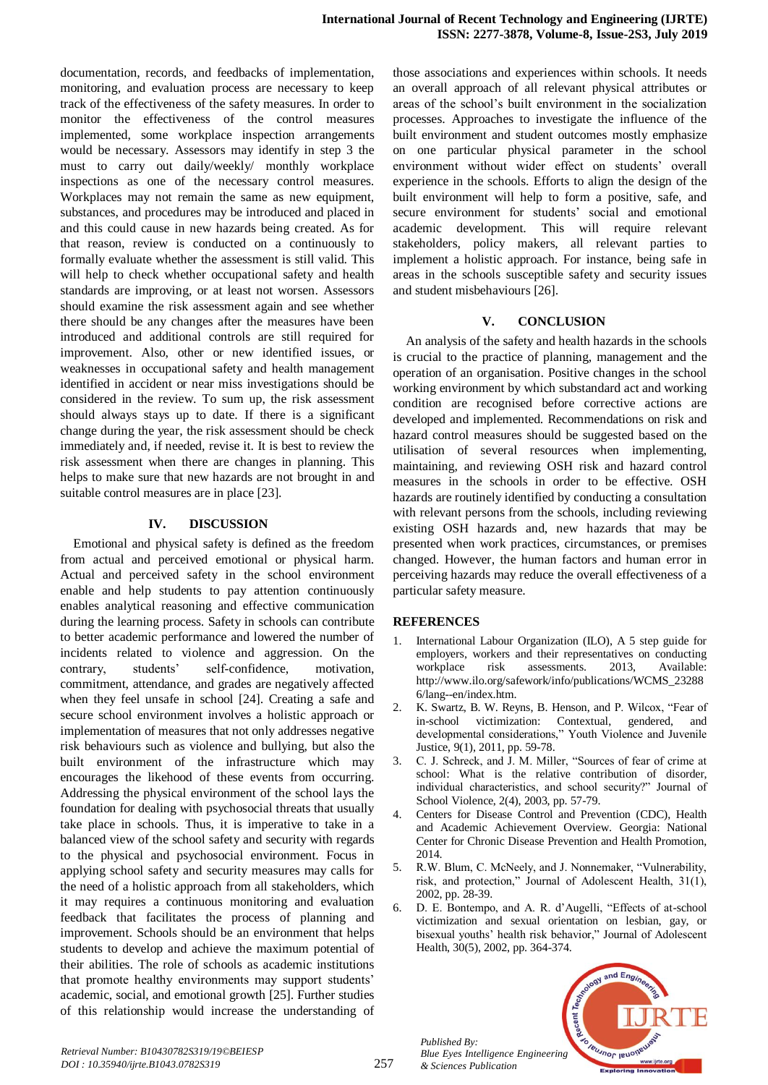documentation, records, and feedbacks of implementation, monitoring, and evaluation process are necessary to keep track of the effectiveness of the safety measures. In order to monitor the effectiveness of the control measures implemented, some workplace inspection arrangements would be necessary. Assessors may identify in step 3 the must to carry out daily/weekly/ monthly workplace inspections as one of the necessary control measures. Workplaces may not remain the same as new equipment, substances, and procedures may be introduced and placed in and this could cause in new hazards being created. As for that reason, review is conducted on a continuously to formally evaluate whether the assessment is still valid. This will help to check whether occupational safety and health standards are improving, or at least not worsen. Assessors should examine the risk assessment again and see whether there should be any changes after the measures have been introduced and additional controls are still required for improvement. Also, other or new identified issues, or weaknesses in occupational safety and health management identified in accident or near miss investigations should be considered in the review. To sum up, the risk assessment should always stays up to date. If there is a significant change during the year, the risk assessment should be check immediately and, if needed, revise it. It is best to review the risk assessment when there are changes in planning. This helps to make sure that new hazards are not brought in and suitable control measures are in place [23].

# **IV. DISCUSSION**

Emotional and physical safety is defined as the freedom from actual and perceived emotional or physical harm. Actual and perceived safety in the school environment enable and help students to pay attention continuously enables analytical reasoning and effective communication during the learning process. Safety in schools can contribute to better academic performance and lowered the number of incidents related to violence and aggression. On the contrary, students' self-confidence, motivation, commitment, attendance, and grades are negatively affected when they feel unsafe in school [24]. Creating a safe and secure school environment involves a holistic approach or implementation of measures that not only addresses negative risk behaviours such as violence and bullying, but also the built environment of the infrastructure which may encourages the likehood of these events from occurring. Addressing the physical environment of the school lays the foundation for dealing with psychosocial threats that usually take place in schools. Thus, it is imperative to take in a balanced view of the school safety and security with regards to the physical and psychosocial environment. Focus in applying school safety and security measures may calls for the need of a holistic approach from all stakeholders, which it may requires a continuous monitoring and evaluation feedback that facilitates the process of planning and improvement. Schools should be an environment that helps students to develop and achieve the maximum potential of their abilities. The role of schools as academic institutions that promote healthy environments may support students' academic, social, and emotional growth [25]. Further studies of this relationship would increase the understanding of

those associations and experiences within schools. It needs an overall approach of all relevant physical attributes or areas of the school's built environment in the socialization processes. Approaches to investigate the influence of the built environment and student outcomes mostly emphasize on one particular physical parameter in the school environment without wider effect on students' overall experience in the schools. Efforts to align the design of the built environment will help to form a positive, safe, and secure environment for students' social and emotional academic development. This will require relevant stakeholders, policy makers, all relevant parties to implement a holistic approach. For instance, being safe in areas in the schools susceptible safety and security issues and student misbehaviours [26].

## **V. CONCLUSION**

An analysis of the safety and health hazards in the schools is crucial to the practice of planning, management and the operation of an organisation. Positive changes in the school working environment by which substandard act and working condition are recognised before corrective actions are developed and implemented. Recommendations on risk and hazard control measures should be suggested based on the utilisation of several resources when implementing, maintaining, and reviewing OSH risk and hazard control measures in the schools in order to be effective. OSH hazards are routinely identified by conducting a consultation with relevant persons from the schools, including reviewing existing OSH hazards and, new hazards that may be presented when work practices, circumstances, or premises changed. However, the human factors and human error in perceiving hazards may reduce the overall effectiveness of a particular safety measure.

#### **REFERENCES**

- 1. International Labour Organization (ILO), A 5 step guide for employers, workers and their representatives on conducting workplace risk assessments. 2013, Available: http://www.ilo.org/safework/info/publications/WCMS\_23288 6/lang--en/index.htm.
- 2. K. Swartz, B. W. Reyns, B. Henson, and P. Wilcox, "Fear of in-school victimization: Contextual, gendered, and developmental considerations," Youth Violence and Juvenile Justice, 9(1), 2011, pp. 59-78.
- 3. C. J. Schreck, and J. M. Miller, "Sources of fear of crime at school: What is the relative contribution of disorder, individual characteristics, and school security?" Journal of School Violence, 2(4), 2003, pp. 57-79.
- 4. Centers for Disease Control and Prevention (CDC), Health and Academic Achievement Overview. Georgia: National Center for Chronic Disease Prevention and Health Promotion, 2014.
- 5. R.W. Blum, C. McNeely, and J. Nonnemaker, "Vulnerability, risk, and protection," Journal of Adolescent Health, 31(1), 2002, pp. 28-39.
- 6. D. E. Bontempo, and A. R. d'Augelli, "Effects of at-school victimization and sexual orientation on lesbian, gay, or bisexual youths' health risk behavior," Journal of Adolescent Health, 30(5), 2002, pp. 364-374.

*Published By: Blue Eyes Intelligence Engineering & Sciences Publication* 



*Retrieval Number: B10430782S319/19©BEIESP DOI : 10.35940/ijrte.B1043.0782S319*